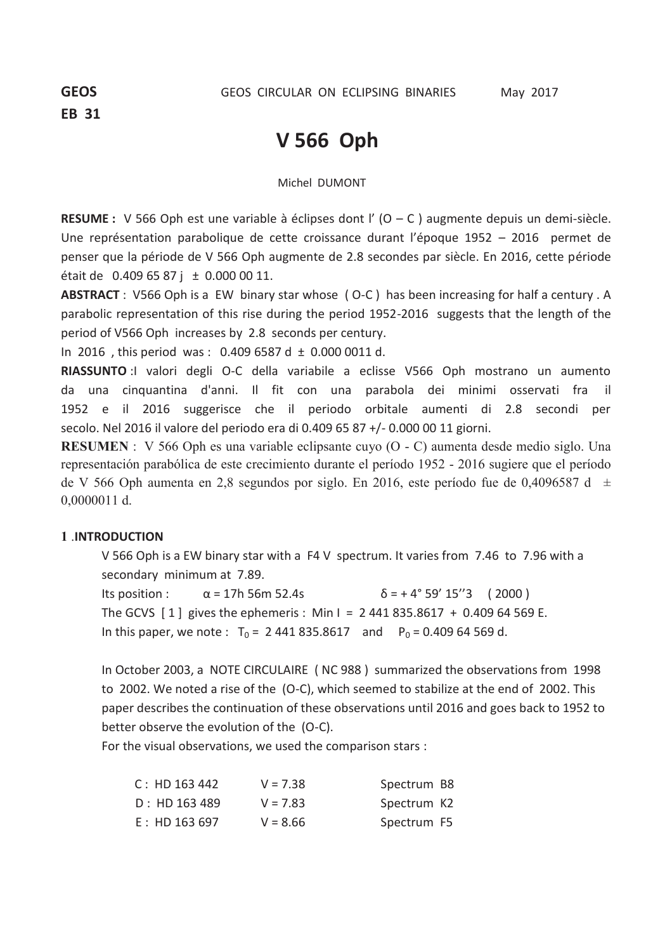# **V 566 Oph**

Michel DUMONT

**RESUME :** V 566 Oph est une variable à éclipses dont l' (O – C ) augmente depuis un demi-siècle. Une représentation parabolique de cette croissance durant l'époque 1952 – 2016 permet de penser que la période de V 566 Oph augmente de 2.8 secondes par siècle. En 2016, cette période était de  $0.4096587$ j ± 0.000 00 11.

**ABSTRACT** : V566 Oph is a EW binary star whose ( O-C ) has been increasing for half a century . A parabolic representation of this rise during the period 1952-2016 suggests that the length of the period of V566 Oph increases by 2.8 seconds per century.

In 2016, this period was:  $0.4096587 d \pm 0.0000011 d$ .

**RIASSUNTO** :I valori degli O-C della variabile a eclisse V566 Oph mostrano un aumento da una cinquantina d'anni. Il fit con una parabola dei minimi osservati fra il 1952 e il 2016 suggerisce che il periodo orbitale aumenti di 2.8 secondi per secolo. Nel 2016 il valore del periodo era di 0.409 65 87 +/- 0.000 00 11 giorni.

**RESUMEN** : V 566 Oph es una variable eclipsante cuyo (O - C) aumenta desde medio siglo. Una representación parabólica de este crecimiento durante el período 1952 - 2016 sugiere que el período de V 566 Oph aumenta en 2,8 segundos por siglo. En 2016, este período fue de 0,4096587 d  $\pm$ 0,0000011 d.

# **1** .**INTRODUCTION**

V 566 Oph is a EW binary star with a F4 V spectrum. It varies from 7.46 to 7.96 with a secondary minimum at 7.89.

Its position :  $\alpha = 17h\,56m\,52.4s$   $\delta = +4^{\circ}\,59'\,15''3$  (2000) The GCVS  $\begin{bmatrix} 1 \\ 2 \end{bmatrix}$  gives the ephemeris : Min I = 2 441 835.8617 + 0.409 64 569 E. In this paper, we note :  $T_0 = 2441835.8617$  and  $P_0 = 0.40964569$  d.

In October 2003, a NOTE CIRCULAIRE ( NC 988 ) summarized the observations from 1998 to 2002. We noted a rise of the (O-C), which seemed to stabilize at the end of 2002. This paper describes the continuation of these observations until 2016 and goes back to 1952 to better observe the evolution of the (O-C).

For the visual observations, we used the comparison stars :

| C: HD 163 442 | $V = 7.38$ | Spectrum B8 |  |
|---------------|------------|-------------|--|
| D: HD 163 489 | $V = 7.83$ | Spectrum K2 |  |
| E: HD 163 697 | $V = 8.66$ | Spectrum F5 |  |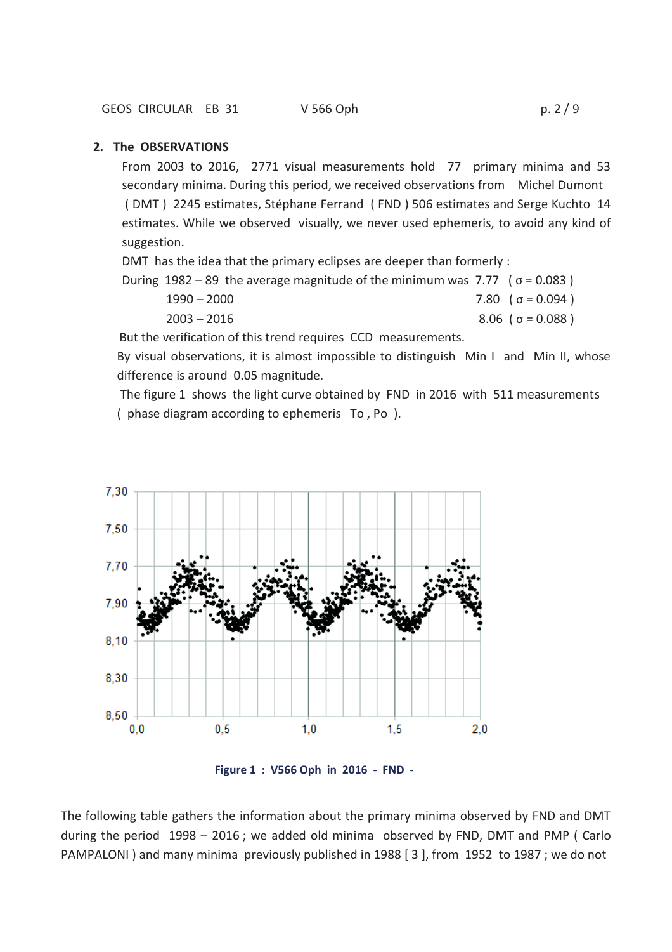### **2. The OBSERVATIONS**

From 2003 to 2016, 2771 visual measurements hold 77 primary minima and 53 secondary minima. During this period, we received observations from Michel Dumont ( DMT ) 2245 estimates, Stéphane Ferrand ( FND ) 506 estimates and Serge Kuchto 14 estimates. While we observed visually, we never used ephemeris, to avoid any kind of suggestion.

DMT has the idea that the primary eclipses are deeper than formerly :

| During $1982 - 89$ the average magnitude of the minimum was 7.77 ( $\sigma = 0.083$ ) |                         |
|---------------------------------------------------------------------------------------|-------------------------|
| $1990 - 2000$                                                                         | 7.80 $(\sigma = 0.094)$ |
|                                                                                       |                         |

 $2003 - 2016$  8.06 (  $\sigma = 0.088$  )

But the verification of this trend requires CCD measurements.

By visual observations, it is almost impossible to distinguish Min I and Min II, whose difference is around 0.05 magnitude.

 The figure 1 shows the light curve obtained by FND in 2016 with 511 measurements ( phase diagram according to ephemeris To , Po ).



 **Figure 1 : V566 Oph in 2016 - FND -**

The following table gathers the information about the primary minima observed by FND and DMT during the period 1998 – 2016 ; we added old minima observed by FND, DMT and PMP ( Carlo PAMPALONI ) and many minima previously published in 1988 [ 3 ], from 1952 to 1987 ; we do not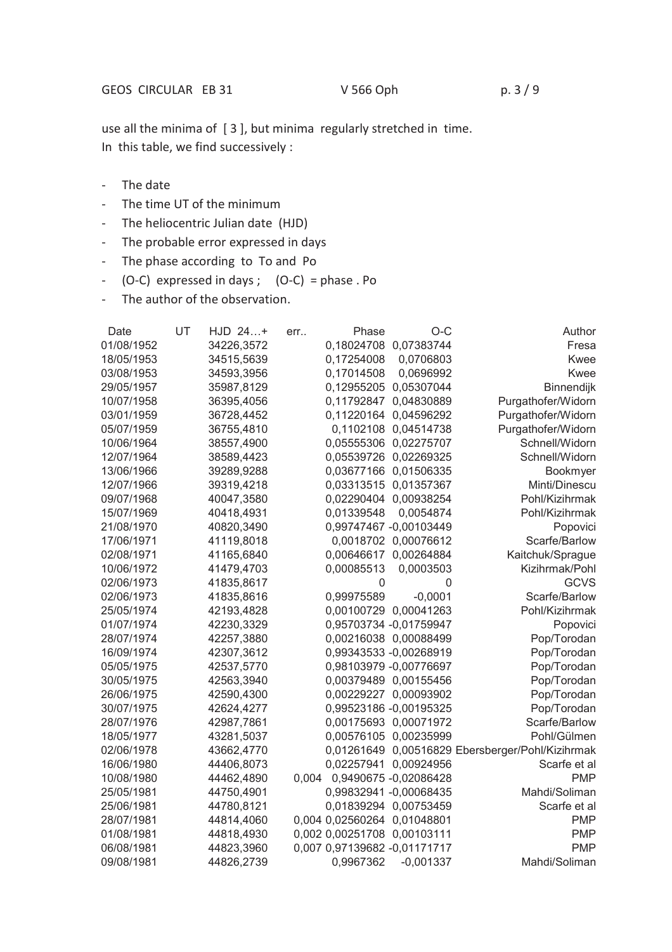use all the minima of [ 3 ], but minima regularly stretched in time. In this table, we find successively :

- The date
- The time UT of the minimum
- The heliocentric Julian date (HJD)
- The probable error expressed in days
- The phase according to To and Po
- $-$  (O-C) expressed in days ; (O-C) = phase . Po
- The author of the observation.

| Date       | UT | HJD 24+    | err   | Phase                        | $O-C$                   | Author                                           |
|------------|----|------------|-------|------------------------------|-------------------------|--------------------------------------------------|
| 01/08/1952 |    | 34226,3572 |       |                              | 0,18024708 0,07383744   | Fresa                                            |
| 18/05/1953 |    | 34515,5639 |       | 0,17254008                   | 0,0706803               | Kwee                                             |
| 03/08/1953 |    | 34593,3956 |       | 0,17014508                   | 0,0696992               | <b>Kwee</b>                                      |
| 29/05/1957 |    | 35987,8129 |       | 0,12955205                   | 0,05307044              | Binnendijk                                       |
| 10/07/1958 |    | 36395,4056 |       | 0,11792847                   | 0,04830889              | Purgathofer/Widorn                               |
| 03/01/1959 |    | 36728,4452 |       |                              | 0,11220164 0,04596292   | Purgathofer/Widorn                               |
| 05/07/1959 |    | 36755,4810 |       |                              | 0,1102108 0,04514738    | Purgathofer/Widorn                               |
| 10/06/1964 |    | 38557,4900 |       |                              | 0,05555306 0,02275707   | Schnell/Widorn                                   |
| 12/07/1964 |    | 38589,4423 |       | 0,05539726                   | 0,02269325              | Schnell/Widorn                                   |
| 13/06/1966 |    | 39289,9288 |       |                              | 0,03677166 0,01506335   | Bookmyer                                         |
| 12/07/1966 |    | 39319,4218 |       | 0,03313515                   | 0,01357367              | Minti/Dinescu                                    |
| 09/07/1968 |    | 40047,3580 |       |                              | 0,02290404 0,00938254   | Pohl/Kizihrmak                                   |
| 15/07/1969 |    | 40418,4931 |       | 0,01339548                   | 0,0054874               | Pohl/Kizihrmak                                   |
| 21/08/1970 |    | 40820,3490 |       |                              | 0,99747467 - 0,00103449 | Popovici                                         |
| 17/06/1971 |    | 41119,8018 |       |                              | 0,0018702 0,00076612    | Scarfe/Barlow                                    |
| 02/08/1971 |    | 41165,6840 |       |                              | 0,00646617 0,00264884   | Kaitchuk/Sprague                                 |
| 10/06/1972 |    | 41479,4703 |       | 0,00085513                   | 0,0003503               | Kizihrmak/Pohl                                   |
| 02/06/1973 |    | 41835,8617 |       | $\mathsf 0$                  | 0                       | <b>GCVS</b>                                      |
| 02/06/1973 |    | 41835,8616 |       | 0,99975589                   | $-0,0001$               | Scarfe/Barlow                                    |
| 25/05/1974 |    | 42193,4828 |       |                              | 0,00100729 0,00041263   | Pohl/Kizihrmak                                   |
| 01/07/1974 |    | 42230,3329 |       |                              | 0,95703734 -0,01759947  | Popovici                                         |
| 28/07/1974 |    | 42257,3880 |       |                              | 0,00216038 0,00088499   | Pop/Torodan                                      |
| 16/09/1974 |    | 42307,3612 |       |                              | 0,99343533 -0,00268919  | Pop/Torodan                                      |
| 05/05/1975 |    | 42537,5770 |       |                              | 0,98103979 -0,00776697  | Pop/Torodan                                      |
| 30/05/1975 |    | 42563,3940 |       |                              | 0,00379489 0,00155456   | Pop/Torodan                                      |
| 26/06/1975 |    | 42590,4300 |       |                              | 0,00229227 0,00093902   | Pop/Torodan                                      |
| 30/07/1975 |    | 42624,4277 |       |                              | 0,99523186 -0,00195325  | Pop/Torodan                                      |
| 28/07/1976 |    | 42987,7861 |       |                              | 0,00175693 0,00071972   | Scarfe/Barlow                                    |
| 18/05/1977 |    | 43281,5037 |       |                              | 0,00576105 0,00235999   | Pohl/Gülmen                                      |
| 02/06/1978 |    | 43662,4770 |       |                              |                         | 0,01261649 0,00516829 Ebersberger/Pohl/Kizihrmak |
| 16/06/1980 |    | 44406,8073 |       |                              | 0,02257941 0,00924956   | Scarfe et al                                     |
| 10/08/1980 |    | 44462,4890 | 0,004 |                              | 0,9490675 -0,02086428   | <b>PMP</b>                                       |
| 25/05/1981 |    | 44750,4901 |       |                              | 0,99832941 -0,00068435  | Mahdi/Soliman                                    |
| 25/06/1981 |    | 44780,8121 |       |                              | 0,01839294 0,00753459   | Scarfe et al                                     |
| 28/07/1981 |    | 44814,4060 |       | 0,004 0,02560264 0,01048801  |                         | <b>PMP</b>                                       |
| 01/08/1981 |    | 44818,4930 |       | 0,002 0,00251708 0,00103111  |                         | <b>PMP</b>                                       |
| 06/08/1981 |    | 44823,3960 |       | 0,007 0,97139682 -0,01171717 |                         | <b>PMP</b>                                       |
| 09/08/1981 |    | 44826,2739 |       | 0,9967362                    | $-0,001337$             | Mahdi/Soliman                                    |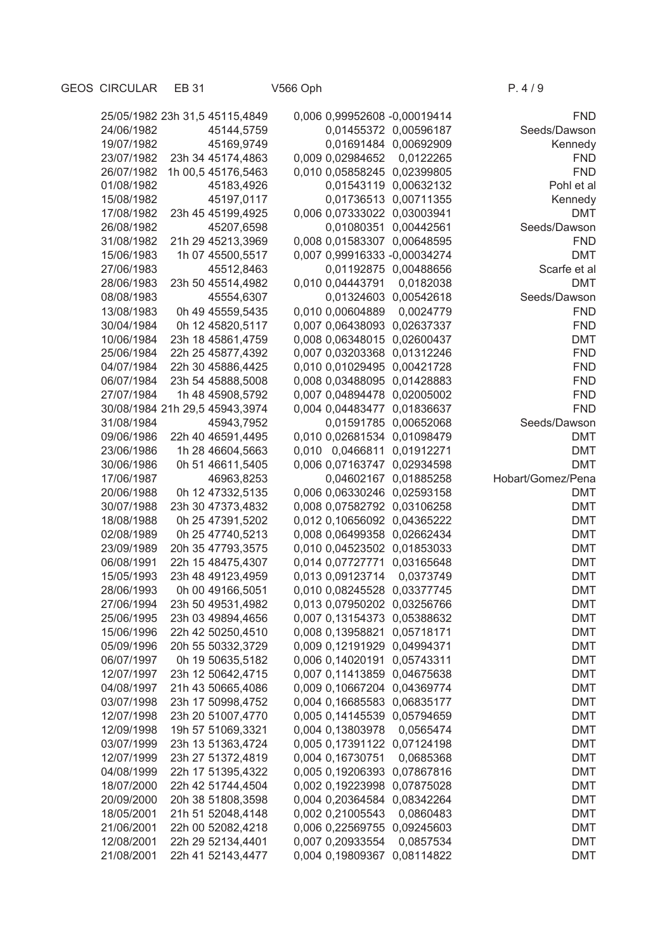|                          | 25/05/1982 23h 31,5 45115,4849         | 0,006 0,99952608 -0,00019414         |                         | <b>FND</b>               |
|--------------------------|----------------------------------------|--------------------------------------|-------------------------|--------------------------|
| 24/06/1982               | 45144,5759                             | 0,01455372 0,00596187                |                         | Seeds/Dawson             |
| 19/07/1982               | 45169,9749                             | 0,01691484 0,00692909                |                         | Kennedy                  |
| 23/07/1982               | 23h 34 45174,4863                      | 0,009 0,02984652                     | 0,0122265               | <b>FND</b>               |
| 26/07/1982               | 1h 00,5 45176,5463                     | 0,010 0,05858245 0,02399805          |                         | <b>FND</b>               |
| 01/08/1982               | 45183,4926                             | 0,01543119 0,00632132                |                         | Pohl et al               |
| 15/08/1982               | 45197,0117                             | 0,01736513 0,00711355                |                         | Kennedy                  |
| 17/08/1982               | 23h 45 45199,4925                      | 0,006 0,07333022 0,03003941          |                         | <b>DMT</b>               |
| 26/08/1982               | 45207,6598                             | 0,01080351 0,00442561                |                         | Seeds/Dawson             |
| 31/08/1982               | 21h 29 45213,3969                      | 0,008 0,01583307 0,00648595          |                         | <b>FND</b>               |
| 15/06/1983               | 1h 07 45500,5517                       | 0,007 0,99916333 -0,00034274         |                         | <b>DMT</b>               |
| 27/06/1983               | 45512,8463                             | 0,01192875 0,00488656                |                         | Scarfe et al             |
| 28/06/1983               | 23h 50 45514,4982                      | 0,010 0,04443791                     | 0,0182038               | <b>DMT</b>               |
| 08/08/1983               | 45554,6307                             | 0,01324603 0,00542618                |                         | Seeds/Dawson             |
| 13/08/1983               | 0h 49 45559,5435                       | 0,010 0,00604889 0,0024779           |                         | <b>FND</b>               |
| 30/04/1984               | 0h 12 45820,5117                       | 0,007 0,06438093 0,02637337          |                         | <b>FND</b>               |
| 10/06/1984               | 23h 18 45861,4759                      | 0,008 0,06348015 0,02600437          |                         | <b>DMT</b>               |
| 25/06/1984               | 22h 25 45877,4392                      | 0,007 0,03203368 0,01312246          |                         | <b>FND</b>               |
| 04/07/1984               | 22h 30 45886,4425                      | 0,010 0,01029495 0,00421728          |                         | <b>FND</b>               |
| 06/07/1984               | 23h 54 45888,5008                      | 0,008 0,03488095 0,01428883          |                         | <b>FND</b>               |
| 27/07/1984               | 1h 48 45908,5792                       | 0,007 0,04894478 0,02005002          |                         | <b>FND</b>               |
|                          | 30/08/1984 21h 29,5 45943,3974         | 0,004 0,04483477 0,01836637          |                         | <b>FND</b>               |
| 31/08/1984               | 45943,7952                             | 0,01591785 0,00652068                |                         | Seeds/Dawson             |
| 09/06/1986               | 22h 40 46591,4495                      | 0,010 0,02681534 0,01098479          |                         | <b>DMT</b>               |
| 23/06/1986               | 1h 28 46604,5663                       | 0,010 0,0466811 0,01912271           |                         | <b>DMT</b>               |
| 30/06/1986               | 0h 51 46611,5405                       | 0,006 0,07163747 0,02934598          |                         | <b>DMT</b>               |
| 17/06/1987               | 46963,8253                             |                                      | 0,04602167 0,01885258   | Hobart/Gomez/Pena        |
| 20/06/1988               | 0h 12 47332,5135                       | 0,006 0,06330246 0,02593158          |                         | <b>DMT</b>               |
| 30/07/1988               | 23h 30 47373,4832                      | 0,008 0,07582792 0,03106258          |                         | <b>DMT</b>               |
| 18/08/1988               | 0h 25 47391,5202                       | 0,012 0,10656092 0,04365222          |                         | <b>DMT</b>               |
| 02/08/1989               | 0h 25 47740,5213                       | 0,008 0,06499358 0,02662434          |                         | <b>DMT</b>               |
| 23/09/1989               | 20h 35 47793,3575                      | 0,010 0,04523502 0,01853033          |                         | <b>DMT</b>               |
| 06/08/1991               | 22h 15 48475,4307                      | 0,014 0,07727771 0,03165648          |                         | <b>DMT</b>               |
| 15/05/1993               | 23h 48 49123,4959                      | 0,013 0,09123714                     | 0,0373749               | <b>DMT</b>               |
| 28/06/1993               | 0h 00 49166,5051                       | 0,010 0,08245528 0,03377745          |                         | <b>DMT</b>               |
| 27/06/1994               | 23h 50 49531,4982                      | 0,013 0,07950202 0,03256766          |                         | <b>DMT</b>               |
| 25/06/1995               | 23h 03 49894,4656                      | 0,007 0,13154373 0,05388632          |                         | <b>DMT</b>               |
| 15/06/1996               | 22h 42 50250,4510                      | 0,008 0,13958821 0,05718171          |                         | DMT                      |
| 05/09/1996               | 20h 55 50332,3729                      | 0,009 0,12191929 0,04994371          |                         | DMT                      |
| 06/07/1997               | 0h 19 50635,5182                       | 0,006 0,14020191                     | 0,05743311              | DMT                      |
| 12/07/1997               | 23h 12 50642,4715                      | 0,007 0,11413859                     | 0,04675638              | DMT                      |
| 04/08/1997               | 21h 43 50665,4086                      | 0,009 0,10667204                     | 0,04369774              | <b>DMT</b><br><b>DMT</b> |
| 03/07/1998               | 23h 17 50998,4752                      | 0,004 0,16685583                     | 0,06835177              | <b>DMT</b>               |
| 12/07/1998<br>12/09/1998 | 23h 20 51007,4770                      | 0,005 0,14145539<br>0,004 0,13803978 | 0,05794659              | <b>DMT</b>               |
| 03/07/1999               | 19h 57 51069,3321<br>23h 13 51363,4724 | 0,005 0,17391122                     | 0,0565474<br>0,07124198 | <b>DMT</b>               |
| 12/07/1999               | 23h 27 51372,4819                      | 0,004 0,16730751                     | 0,0685368               | DMT                      |
| 04/08/1999               | 22h 17 51395,4322                      | 0,005 0,19206393                     | 0,07867816              | DMT                      |
| 18/07/2000               | 22h 42 51744,4504                      | 0,002 0,19223998                     | 0,07875028              | DMT                      |
| 20/09/2000               | 20h 38 51808,3598                      | 0,004 0,20364584 0,08342264          |                         | DMT                      |
| 18/05/2001               | 21h 51 52048,4148                      | 0,002 0,21005543                     | 0,0860483               | DMT                      |
| 21/06/2001               | 22h 00 52082,4218                      | 0,006 0,22569755                     | 0,09245603              | DMT                      |
| 12/08/2001               | 22h 29 52134,4401                      | 0,007 0,20933554                     | 0,0857534               | DMT                      |
| 21/08/2001               | 22h 41 52143,4477                      | 0,004 0,19809367                     | 0,08114822              | <b>DMT</b>               |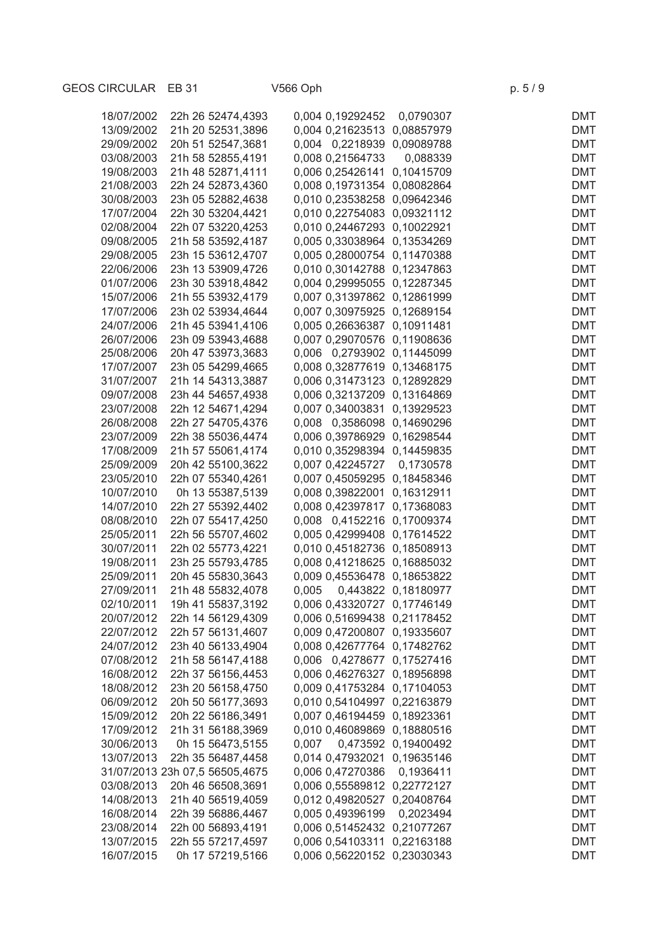| 18/07/2002                     | 22h 26 52474,4393                      |       | 0,004 0,19292452                                           | 0,0790307           | <b>DMT</b>               |
|--------------------------------|----------------------------------------|-------|------------------------------------------------------------|---------------------|--------------------------|
| 13/09/2002                     | 21h 20 52531,3896                      |       | 0,004 0,21623513 0,08857979                                |                     | <b>DMT</b>               |
| 29/09/2002                     | 20h 51 52547,3681                      |       | 0,004 0,2218939 0,09089788                                 |                     | <b>DMT</b>               |
| 03/08/2003                     | 21h 58 52855,4191                      |       | 0,008 0,21564733                                           | 0,088339            | <b>DMT</b>               |
| 19/08/2003                     | 21h 48 52871,4111                      |       | 0,006 0,25426141 0,10415709                                |                     | <b>DMT</b>               |
| 21/08/2003                     | 22h 24 52873,4360                      |       | 0,008 0,19731354 0,08082864                                |                     | <b>DMT</b>               |
| 30/08/2003                     | 23h 05 52882,4638                      |       | 0,010 0,23538258 0,09642346                                |                     | <b>DMT</b>               |
| 17/07/2004                     | 22h 30 53204,4421                      |       | 0,010 0,22754083 0,09321112                                |                     | <b>DMT</b>               |
| 02/08/2004                     | 22h 07 53220,4253                      |       | 0,010 0,24467293 0,10022921                                |                     | <b>DMT</b>               |
| 09/08/2005                     | 21h 58 53592,4187                      |       | 0,005 0,33038964 0,13534269                                |                     | <b>DMT</b>               |
| 29/08/2005                     | 23h 15 53612,4707                      |       | 0,005 0,28000754 0,11470388                                |                     | <b>DMT</b>               |
| 22/06/2006                     | 23h 13 53909,4726                      |       | 0,010 0,30142788 0,12347863                                |                     | <b>DMT</b>               |
| 01/07/2006                     | 23h 30 53918,4842                      |       | 0,004 0,29995055 0,12287345                                |                     | <b>DMT</b>               |
| 15/07/2006                     | 21h 55 53932,4179                      |       | 0,007 0,31397862 0,12861999                                |                     | <b>DMT</b>               |
| 17/07/2006                     | 23h 02 53934,4644                      |       | 0,007 0,30975925 0,12689154                                |                     | <b>DMT</b>               |
| 24/07/2006                     | 21h 45 53941,4106                      |       | 0,005 0,26636387 0,10911481                                |                     | <b>DMT</b>               |
| 26/07/2006                     | 23h 09 53943,4688                      |       | 0,007 0,29070576 0,11908636                                |                     | <b>DMT</b>               |
| 25/08/2006                     | 20h 47 53973,3683                      |       | 0,006 0,2793902 0,11445099                                 |                     | <b>DMT</b>               |
| 17/07/2007                     | 23h 05 54299,4665                      |       | 0,008 0,32877619 0,13468175                                |                     | <b>DMT</b>               |
| 31/07/2007                     | 21h 14 54313,3887                      |       | 0,006 0,31473123 0,12892829                                |                     | <b>DMT</b>               |
| 09/07/2008                     | 23h 44 54657,4938                      |       | 0,006 0,32137209 0,13164869                                |                     | <b>DMT</b>               |
|                                | 22h 12 54671,4294                      |       |                                                            |                     |                          |
| 23/07/2008<br>26/08/2008       |                                        |       | 0,007 0,34003831 0,13929523                                |                     | <b>DMT</b>               |
|                                | 22h 27 54705,4376<br>22h 38 55036,4474 |       | 0,008 0,3586098 0,14690296                                 |                     | <b>DMT</b><br><b>DMT</b> |
| 23/07/2009                     |                                        |       | 0,006 0,39786929 0,16298544                                |                     |                          |
| 17/08/2009                     | 21h 57 55061,4174                      |       | 0,010 0,35298394 0,14459835                                |                     | <b>DMT</b><br><b>DMT</b> |
| 25/09/2009<br>23/05/2010       | 20h 42 55100,3622<br>22h 07 55340,4261 |       | 0,007 0,42245727 0,1730578                                 |                     | <b>DMT</b>               |
| 10/07/2010                     | 0h 13 55387,5139                       |       | 0,007 0,45059295 0,18458346<br>0,008 0,39822001 0,16312911 |                     | <b>DMT</b>               |
| 14/07/2010                     | 22h 27 55392,4402                      |       | 0,008 0,42397817 0,17368083                                |                     | <b>DMT</b>               |
| 08/08/2010                     | 22h 07 55417,4250                      |       | 0,008 0,4152216 0,17009374                                 |                     | <b>DMT</b>               |
|                                |                                        |       |                                                            |                     |                          |
| 25/05/2011                     | 22h 56 55707,4602                      |       | 0,005 0,42999408 0,17614522                                |                     | <b>DMT</b><br><b>DMT</b> |
| 30/07/2011                     | 22h 02 55773,4221                      |       | 0,010 0,45182736 0,18508913<br>0,008 0,41218625 0,16885032 |                     | <b>DMT</b>               |
| 19/08/2011                     | 23h 25 55793,4785                      |       | 0,009 0,45536478 0,18653822                                |                     |                          |
| 25/09/2011                     | 20h 45 55830,3643                      |       |                                                            |                     | <b>DMT</b>               |
| 27/09/2011                     | 21h 48 55832,4078                      | 0,005 |                                                            | 0,443822 0,18180977 | <b>DMT</b>               |
| 02/10/2011                     | 19h 41 55837,3192                      |       | 0,006 0,43320727 0,17746149                                |                     | <b>DMT</b>               |
| 20/07/2012                     | 22h 14 56129,4309                      |       | 0,006 0,51699438 0,21178452                                |                     | DMT                      |
| 22/07/2012                     | 22h 57 56131,4607                      |       | 0,009 0,47200807 0,19335607                                |                     | <b>DMT</b>               |
| 24/07/2012                     | 23h 40 56133,4904                      |       | 0,008 0,42677764 0,17482762                                |                     | <b>DMT</b>               |
| 07/08/2012                     | 21h 58 56147,4188                      |       | 0,006 0,4278677 0,17527416                                 |                     | <b>DMT</b>               |
| 16/08/2012                     | 22h 37 56156,4453                      |       | 0,006 0,46276327 0,18956898                                |                     | <b>DMT</b>               |
| 18/08/2012                     | 23h 20 56158,4750                      |       | 0,009 0,41753284 0,17104053                                |                     | <b>DMT</b>               |
| 06/09/2012                     | 20h 50 56177,3693                      |       | 0,010 0,54104997 0,22163879                                |                     | <b>DMT</b>               |
| 15/09/2012                     | 20h 22 56186,3491                      |       | 0,007 0,46194459 0,18923361                                |                     | <b>DMT</b>               |
| 17/09/2012                     | 21h 31 56188,3969                      |       | 0,010 0,46089869 0,18880516                                |                     | <b>DMT</b>               |
| 30/06/2013                     | 0h 15 56473,5155                       | 0,007 |                                                            | 0,473592 0,19400492 | <b>DMT</b>               |
| 13/07/2013                     | 22h 35 56487,4458                      |       | 0,014 0,47932021 0,19635146                                |                     | <b>DMT</b>               |
| 31/07/2013 23h 07,5 56505,4675 |                                        |       | 0,006 0,47270386                                           | 0,1936411           | <b>DMT</b>               |
| 03/08/2013                     | 20h 46 56508,3691                      |       | 0,006 0,55589812 0,22772127                                |                     | <b>DMT</b>               |
| 14/08/2013                     | 21h 40 56519,4059                      |       | 0,012 0,49820527 0,20408764                                |                     | <b>DMT</b>               |
| 16/08/2014                     | 22h 39 56886,4467                      |       | 0,005 0,49396199                                           | 0,2023494           | <b>DMT</b>               |
| 23/08/2014                     | 22h 00 56893,4191                      |       | 0,006 0,51452432 0,21077267                                |                     | <b>DMT</b>               |

13/07/2015 22h 55 57217,4597 0,006 0,54103311 0,22163188 DMT 16/07/2015 0h 17 57219,5166 0,006 0,56220152 0,23030343 DMT

GEOS CIRCULAR EB 31 V566 Oph p. 5 / 9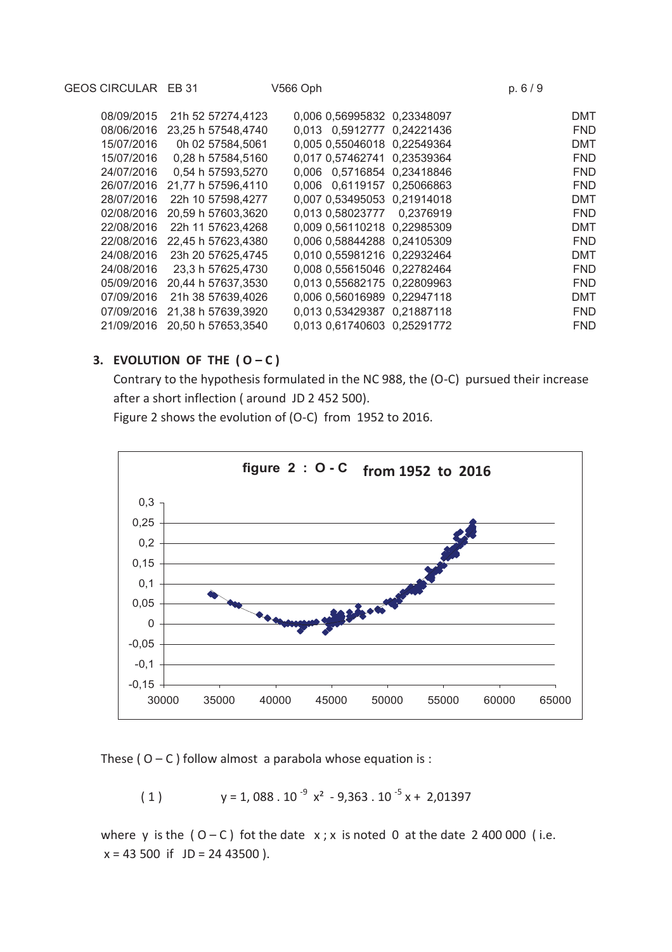| GEOS CIRCULAR EB 31 |                    | V566 Oph                    | p.6/9 |            |
|---------------------|--------------------|-----------------------------|-------|------------|
| 08/09/2015          | 21h 52 57274,4123  | 0,006 0,56995832 0,23348097 |       | <b>DMT</b> |
| 08/06/2016          | 23,25 h 57548,4740 | 0,013 0,5912777 0,24221436  |       | <b>FND</b> |
| 15/07/2016          | 0h 02 57584,5061   | 0,005 0,55046018 0,22549364 |       | DMT        |
| 15/07/2016          | 0,28 h 57584,5160  | 0.017 0.57462741 0.23539364 |       | <b>FND</b> |
| 24/07/2016          | 0.54 h 57593,5270  | 0.006 0.5716854 0.23418846  |       | <b>FND</b> |
| 26/07/2016          | 21,77 h 57596,4110 | 0.006 0.6119157 0.25066863  |       | <b>FND</b> |
| 28/07/2016          | 22h 10 57598,4277  | 0,007 0,53495053 0,21914018 |       | <b>DMT</b> |
| 02/08/2016          | 20,59 h 57603,3620 | 0,013 0,58023777 0,2376919  |       | <b>FND</b> |
| 22/08/2016          | 22h 11 57623,4268  | 0,009 0,56110218 0,22985309 |       | DMT        |
| 22/08/2016          | 22,45 h 57623,4380 | 0,006 0,58844288 0,24105309 |       | <b>FND</b> |
| 24/08/2016          | 23h 20 57625,4745  | 0,010 0,55981216 0,22932464 |       | <b>DMT</b> |
| 24/08/2016          | 23.3 h 57625,4730  | 0,008 0,55615046 0,22782464 |       | <b>FND</b> |
| 05/09/2016          | 20,44 h 57637,3530 | 0.013 0.55682175 0.22809963 |       | <b>FND</b> |
| 07/09/2016          | 21h 38 57639,4026  | 0.006 0.56016989 0.22947118 |       | <b>DMT</b> |
| 07/09/2016          | 21,38 h 57639,3920 | 0.013 0.53429387 0.21887118 |       | <b>FND</b> |
| 21/09/2016          | 20,50 h 57653,3540 | 0.013 0.61740603 0.25291772 |       | <b>FND</b> |
|                     |                    |                             |       |            |

# **3. EVOLUTION OF THE**  $(O - C)$

Contrary to the hypothesis formulated in the NC 988, the (O-C) pursued their increase after a short inflection ( around JD 2 452 500).

Figure 2 shows the evolution of (O-C) from 1952 to 2016.



These ( $O - C$ ) follow almost a parabola whose equation is :

$$
(1) \t y = 1,088.10^{-9} x^2 - 9,363.10^{-5} x + 2,01397
$$

where y is the  $(O - C)$  fot the date  $x$ ; x is noted 0 at the date 2 400 000 (i.e.  $x = 43500$  if  $JD = 2443500$ ).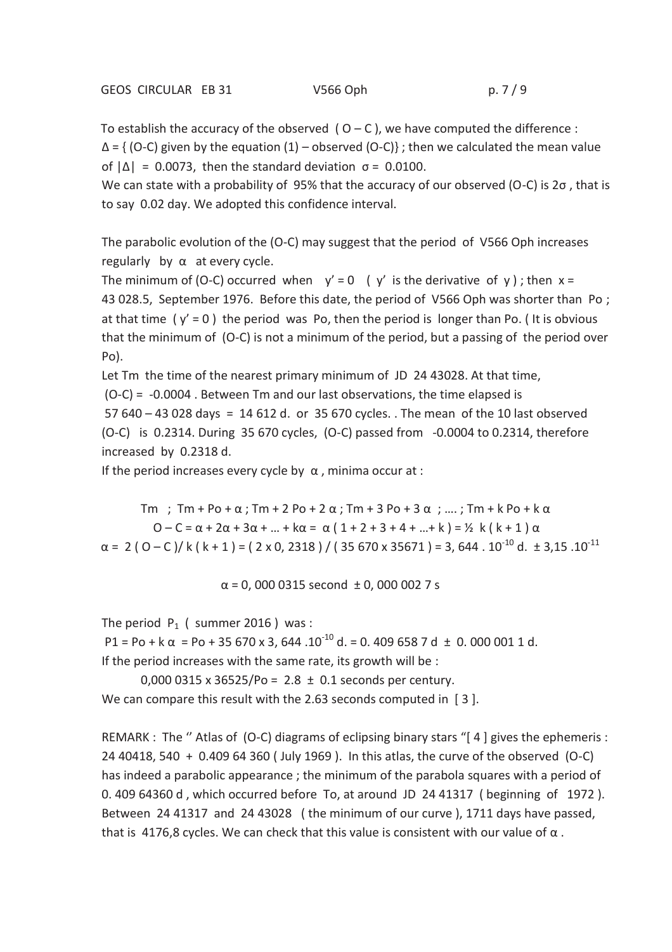To establish the accuracy of the observed  $(0 - C)$ , we have computed the difference :  $\Delta = \{ (O-C)$  given by the equation  $(1)$  – observed  $(O-C)$ }; then we calculated the mean value of  $|\Delta|$  = 0.0073, then the standard deviation  $\sigma$  = 0.0100.

We can state with a probability of 95% that the accuracy of our observed (O-C) is 2σ , that is to say 0.02 day. We adopted this confidence interval.

The parabolic evolution of the (O-C) may suggest that the period of V566 Oph increases regularly by  $\alpha$  at every cycle.

The minimum of (O-C) occurred when  $y' = 0$  ( y' is the derivative of y); then  $x =$ 43 028.5, September 1976. Before this date, the period of V566 Oph was shorter than Po ; at that time ( $y' = 0$ ) the period was Po, then the period is longer than Po. (It is obvious that the minimum of (O-C) is not a minimum of the period, but a passing of the period over Po).

Let Tm the time of the nearest primary minimum of JD 24 43028. At that time, (O-C) = -0.0004 . Between Tm and our last observations, the time elapsed is 57 640 – 43 028 days = 14 612 d. or 35 670 cycles. . The mean of the 10 last observed (O-C) is 0.2314. During 35 670 cycles, (O-C) passed from -0.0004 to 0.2314, therefore increased by 0.2318 d.

If the period increases every cycle by  $\alpha$ , minima occur at :

Tm ; Tm + Po + α ; Tm + 2 Po + 2 α ; Tm + 3 Po + 3 α ; …. ; Tm + k Po + k α  $0 - C = \alpha + 2\alpha + 3\alpha + ... + k\alpha = \alpha (1 + 2 + 3 + 4 + ... + k) = \frac{1}{2} k (k + 1) \alpha$  $\alpha$  = 2 ( O – C )/ k ( k + 1 ) = ( 2 x 0, 2318 ) / ( 35 670 x 35671 ) = 3, 644 . 10<sup>-10</sup> d. ± 3.15 .10<sup>-11</sup>

 $\alpha$  = 0, 000 0315 second  $\pm$  0, 000 002 7 s

The period  $P_1$  ( summer 2016 ) was :

P1 = Po + k  $\alpha$  = Po + 35 670 x 3, 644 .10<sup>-10</sup> d. = 0. 409 658 7 d  $\pm$  0. 000 001 1 d. If the period increases with the same rate, its growth will be :

0,000 0315 x 36525/Po = 2.8  $\pm$  0.1 seconds per century. We can compare this result with the 2.63 seconds computed in [3].

REMARK : The " Atlas of (O-C) diagrams of eclipsing binary stars "[4] gives the ephemeris : 24 40418, 540 + 0.409 64 360 ( July 1969 ). In this atlas, the curve of the observed (O-C) has indeed a parabolic appearance ; the minimum of the parabola squares with a period of 0. 409 64360 d , which occurred before To, at around JD 24 41317 ( beginning of 1972 ). Between 24 41317 and 24 43028 ( the minimum of our curve ), 1711 days have passed, that is 4176,8 cycles. We can check that this value is consistent with our value of  $\alpha$ .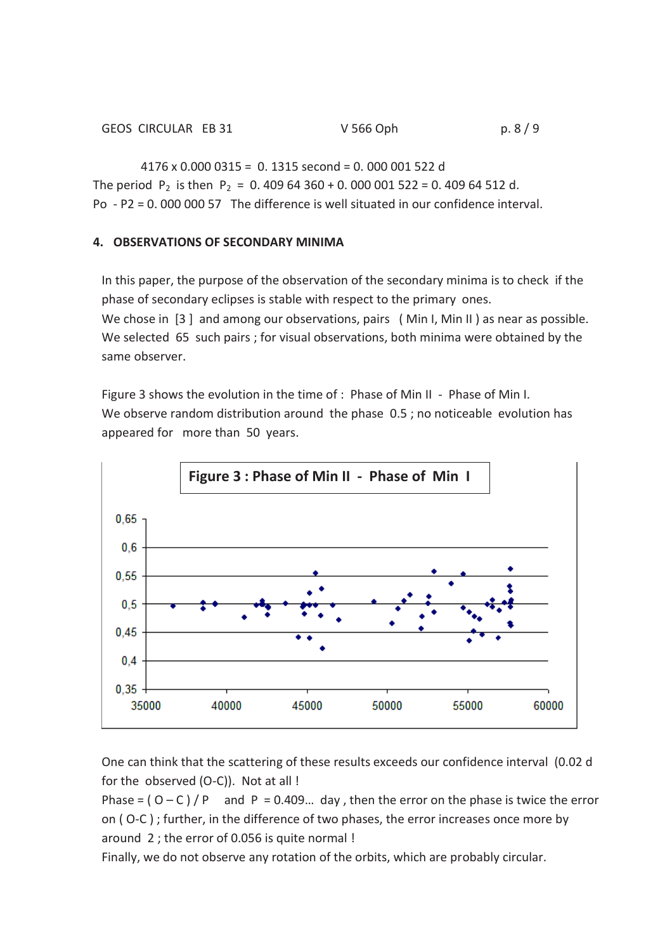$4176 \times 0.000 0315 = 0.1315$  second = 0.000 001 522 d The period  $P_2$  is then  $P_2 = 0.40964360 + 0.000001522 = 0.40964512 d$ . Po - P2 = 0. 000 000 57 The difference is well situated in our confidence interval.

# **4. OBSERVATIONS OF SECONDARY MINIMA**

In this paper, the purpose of the observation of the secondary minima is to check if the phase of secondary eclipses is stable with respect to the primary ones. We chose in [3] and among our observations, pairs (Min I, Min II) as near as possible. We selected 65 such pairs ; for visual observations, both minima were obtained by the same observer.

Figure 3 shows the evolution in the time of : Phase of Min II - Phase of Min I. We observe random distribution around the phase 0.5; no noticeable evolution has appeared for more than 50 years.



One can think that the scattering of these results exceeds our confidence interval (0.02 d for the observed (O-C)). Not at all !

Phase =  $(0 - C)/P$  and P = 0.409... day, then the error on the phase is twice the error on ( O-C ) ; further, in the difference of two phases, the error increases once more by around 2 ; the error of 0.056 is quite normal !

Finally, we do not observe any rotation of the orbits, which are probably circular.